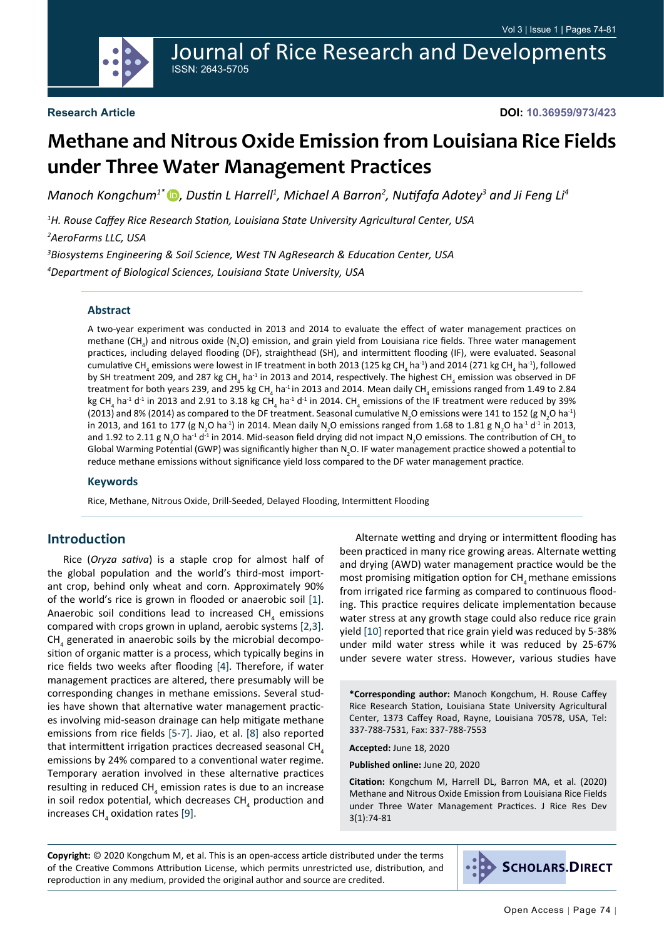**DOI: 10.36959/973/423**

# **Methane and Nitrous Oxide Emission from Louisiana Rice Fields under Three Water Management Practices**

Journal of Rice Research and Developments

*Manoch Kongchum1\* [,](https://orcid.org/0000-0002-9023-9917) Dustin L Harrell<sup>1</sup> , Michael A Barron<sup>2</sup> , Nutifafa Adotey<sup>3</sup> and Ji Feng Li<sup>4</sup>*

*1 H. Rouse Caffey Rice Research Station, Louisiana State University Agricultural Center, USA*

*2 AeroFarms LLC, USA*

*3 Biosystems Engineering & Soil Science, West TN AgResearch & Education Center, USA 4 Department of Biological Sciences, Louisiana State University, USA*

ISSN: 2643-5705

#### **Abstract**

A two-year experiment was conducted in 2013 and 2014 to evaluate the effect of water management practices on methane (CH<sub>4</sub>) and nitrous oxide (N<sub>2</sub>O) emission, and grain yield from Louisiana rice fields. Three water management practices, including delayed flooding (DF), straighthead (SH), and intermittent flooding (IF), were evaluated. Seasonal cumulative CH<sub>4</sub> emissions were lowest in IF treatment in both 2013 (125 kg CH<sub>4</sub> ha<sup>-1</sup>) and 2014 (271 kg CH<sub>4</sub> ha<sup>-1</sup>), followed by SH treatment 209, and 287 kg CH<sub>4</sub> ha<sup>-1</sup> in 2013 and 2014, respectively. The highest CH<sub>4</sub> emission was observed in DF treatment for both years 239, and 295 kg CH<sub>4</sub> ha<sup>-1</sup>in 2013 and 2014. Mean daily CH<sub>4</sub> emissions ranged from 1.49 to 2.84 kg CH<sub>4</sub> ha<sup>-1</sup> d<sup>-1</sup> in 2013 and 2.91 to 3.18 kg CH<sub>4</sub> ha<sup>-1</sup> d<sup>-1</sup> in 2014. CH<sub>4</sub> emissions of the IF treatment were reduced by 39% (2013) and 8% (2014) as compared to the DF treatment. Seasonal cumulative N<sub>2</sub>O emissions were 141 to 152 (g N<sub>2</sub>O ha<sup>-1</sup>) in 2013, and 161 to 177 (g N<sub>2</sub>O ha<sup>-1</sup>) in 2014. Mean daily N<sub>2</sub>O emissions ranged from 1.68 to 1.81 g N<sub>2</sub>O ha<sup>-1</sup> d<sup>-1</sup> in 2013, and 1.92 to 2.11 g N<sub>2</sub>O ha<sup>-1</sup> d<sup>-1</sup> in 2014. Mid-season field drying did not impact N<sub>2</sub>O emissions. The contribution of CH<sub>4</sub> to Global Warming Potential (GWP) was significantly higher than N<sub>2</sub>O. IF water management practice showed a potential to reduce methane emissions without significance yield loss compared to the DF water management practice.

#### **Keywords**

Rice, Methane, Nitrous Oxide, Drill-Seeded, Delayed Flooding, Intermittent Flooding

#### **Introduction**

Rice (*Oryza sativa*) is a staple crop for almost half of the global population and the world's third-most important crop, behind only wheat and corn. Approximately 90% of the world's rice is grown in flooded or anaerobic soil [[1\]](#page-6-0). Anaerobic soil conditions lead to increased  $\textsf{CH}_4$  emissions compared with crops grown in upland, aerobic systems [\[2](#page-6-1),[3\]](#page-6-2).  $CH<sub>4</sub>$  generated in anaerobic soils by the microbial decomposition of organic matter is a process, which typically begins in rice fields two weeks after flooding [\[4](#page-6-3)]. Therefore, if water management practices are altered, there presumably will be corresponding changes in methane emissions. Several studies have shown that alternative water management practices involving mid-season drainage can help mitigate methane emissions from rice fields [\[5](#page-6-4)[-7](#page-6-5)]. Jiao, et al. [\[8](#page-6-6)] also reported that intermittent irrigation practices decreased seasonal CH, emissions by 24% compared to a conventional water regime. Temporary aeration involved in these alternative practices resulting in reduced  $CH_{_4}$  emission rates is due to an increase in soil redox potential, which decreases  $\textsf{CH}_4^{}$  production and increases CH<sub>4</sub> oxidation rates [[9\]](#page-6-7).

Alternate wetting and drying or intermittent flooding has been practiced in many rice growing areas. Alternate wetting and drying (AWD) water management practice would be the most promising mitigation option for CH<sub>4</sub> methane emissions from irrigated rice farming as compared to continuous flooding. This practice requires delicate implementation because water stress at any growth stage could also reduce rice grain yield [\[10](#page-6-8)] reported that rice grain yield was reduced by 5-38% under mild water stress while it was reduced by 25-67% under severe water stress. However, various studies have

**\*Corresponding author:** Manoch Kongchum, H. Rouse Caffey Rice Research Station, Louisiana State University Agricultural Center, 1373 Caffey Road, Rayne, Louisiana 70578, USA, Tel: 337-788-7531, Fax: 337-788-7553

**Accepted:** June 18, 2020

**Published online:** June 20, 2020

**Citation:** Kongchum M, Harrell DL, Barron MA, et al. (2020) Methane and Nitrous Oxide Emission from Louisiana Rice Fields under Three Water Management Practices. J Rice Res Dev 3(1):74-81

**Copyright:** © 2020 Kongchum M, et al. This is an open-access article distributed under the terms of the Creative Commons Attribution License, which permits unrestricted use, distribution, and reproduction in any medium, provided the original author and source are credited.

**SCHOLARS.DIRECT**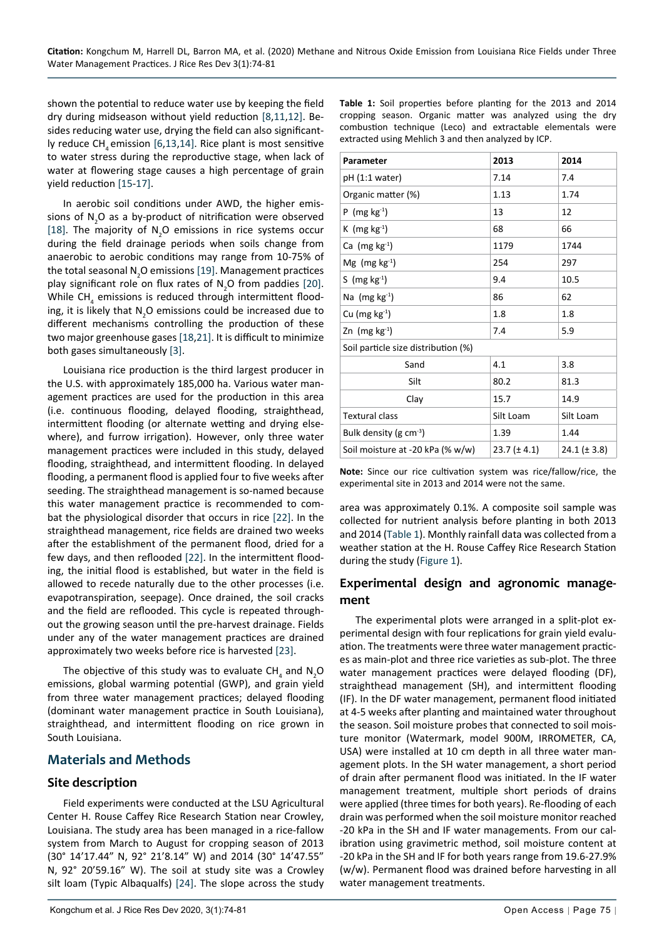shown the potential to reduce water use by keeping the field dry during midseason without yield reduction [\[8](#page-6-6),[11,](#page-6-9)[12](#page-6-10)]. Besides reducing water use, drying the field can also significant-ly reduce CH, emission [[6](#page-6-11)[,13,](#page-6-12)[14](#page-6-13)]. Rice plant is most sensitive to water stress during the reproductive stage, when lack of water at flowering stage causes a high percentage of grain yield reduction [[15-](#page-6-14)[17](#page-6-15)].

In aerobic soil conditions under AWD, the higher emissions of  $N_{2}$ O as a by-product of nitrification were observed [[18\]](#page-6-16). The majority of  $N_2O$  emissions in rice systems occur during the field drainage periods when soils change from anaerobic to aerobic conditions may range from 10-75% of the total seasonal N<sub>2</sub>O emissions [[19\]](#page-6-17). Management practices play significant role on flux rates of  $N_{2}$ O from paddies [[20\]](#page-6-18). While CH<sub>4</sub> emissions is reduced through intermittent flooding, it is likely that  $N_{2}$ O emissions could be increased due to different mechanisms controlling the production of these two major greenhouse gases [[18](#page-6-16)[,21](#page-6-19)]. It is difficult to minimize both gases simultaneously [\[3](#page-6-2)].

Louisiana rice production is the third largest producer in the U.S. with approximately 185,000 ha. Various water management practices are used for the production in this area (i.e. continuous flooding, delayed flooding, straighthead, intermittent flooding (or alternate wetting and drying elsewhere), and furrow irrigation). However, only three water management practices were included in this study, delayed flooding, straighthead, and intermittent flooding. In delayed flooding, a permanent flood is applied four to five weeks after seeding. The straighthead management is so-named because this water management practice is recommended to combat the physiological disorder that occurs in rice [[22\]](#page-7-0). In the straighthead management, rice fields are drained two weeks after the establishment of the permanent flood, dried for a few days, and then reflooded [\[22](#page-7-0)]. In the intermittent flooding, the initial flood is established, but water in the field is allowed to recede naturally due to the other processes (i.e. evapotranspiration, seepage). Once drained, the soil cracks and the field are reflooded. This cycle is repeated throughout the growing season until the pre-harvest drainage. Fields under any of the water management practices are drained approximately two weeks before rice is harvested [\[23](#page-7-1)].

The objective of this study was to evaluate CH<sub>4</sub> and N<sub>2</sub>O emissions, global warming potential (GWP), and grain yield from three water management practices; delayed flooding (dominant water management practice in South Louisiana), straighthead, and intermittent flooding on rice grown in South Louisiana.

## **Materials and Methods**

#### **Site description**

Field experiments were conducted at the LSU Agricultural Center H. Rouse Caffey Rice Research Station near Crowley, Louisiana. The study area has been managed in a rice-fallow system from March to August for cropping season of 2013 (30° 14'17.44" N, 92° 21'8.14" W) and 2014 (30° 14'47.55" N, 92° 20'59.16" W). The soil at study site was a Crowley silt loam (Typic Albaqualfs) [[24\]](#page-7-2). The slope across the study **Table 1:** Soil properties before planting for the 2013 and 2014 cropping season. Organic matter was analyzed using the dry combustion technique (Leco) and extractable elementals were extracted using Mehlich 3 and then analyzed by ICP.

| Parameter                           | 2013             | 2014             |  |  |  |  |  |  |  |
|-------------------------------------|------------------|------------------|--|--|--|--|--|--|--|
| pH (1:1 water)                      | 7.14             | 7.4              |  |  |  |  |  |  |  |
| Organic matter (%)                  | 1.13             | 1.74             |  |  |  |  |  |  |  |
| P (mg $kg^{-1}$ )                   | 13               | 12               |  |  |  |  |  |  |  |
| K (mg $kg^{-1}$ )                   | 68               | 66               |  |  |  |  |  |  |  |
| Ca $(mg kg-1)$                      | 1179             | 1744             |  |  |  |  |  |  |  |
| Mg (mg $kg^{-1}$ )                  | 254              | 297              |  |  |  |  |  |  |  |
| S (mg $kg^{-1}$ )                   | 9.4              | 10.5             |  |  |  |  |  |  |  |
| Na $(mg kg-1)$                      | 86               | 62               |  |  |  |  |  |  |  |
| Cu (mg $kg^{-1}$ )                  | 1.8              | 1.8              |  |  |  |  |  |  |  |
| Zn $(mg kg-1)$                      | 7.4              | 5.9              |  |  |  |  |  |  |  |
| Soil particle size distribution (%) |                  |                  |  |  |  |  |  |  |  |
| Sand                                | 4.1              | 3.8              |  |  |  |  |  |  |  |
| Silt                                | 80.2             | 81.3             |  |  |  |  |  |  |  |
| Clay                                | 15.7             | 14.9             |  |  |  |  |  |  |  |
| <b>Textural class</b>               | Silt Loam        | Silt Loam        |  |  |  |  |  |  |  |
| Bulk density (g $cm^{-3}$ )         | 1.39             | 1.44             |  |  |  |  |  |  |  |
| Soil moisture at -20 kPa (% w/w)    | $23.7 (\pm 4.1)$ | $24.1 (\pm 3.8)$ |  |  |  |  |  |  |  |

**Note:** Since our rice cultivation system was rice/fallow/rice, the experimental site in 2013 and 2014 were not the same.

area was approximately 0.1%. A composite soil sample was collected for nutrient analysis before planting in both 2013 and 2014 (Table 1). Monthly rainfall data was collected from a weather station at the H. Rouse Caffey Rice Research Station during the study ([Figure 1](#page-2-0)).

## **Experimental design and agronomic management**

The experimental plots were arranged in a split-plot experimental design with four replications for grain yield evaluation. The treatments were three water management practices as main-plot and three rice varieties as sub-plot. The three water management practices were delayed flooding (DF), straighthead management (SH), and intermittent flooding (IF). In the DF water management, permanent flood initiated at 4-5 weeks after planting and maintained water throughout the season. Soil moisture probes that connected to soil moisture monitor (Watermark, model 900M, IRROMETER, CA, USA) were installed at 10 cm depth in all three water management plots. In the SH water management, a short period of drain after permanent flood was initiated. In the IF water management treatment, multiple short periods of drains were applied (three times for both years). Re-flooding of each drain was performed when the soil moisture monitor reached -20 kPa in the SH and IF water managements. From our calibration using gravimetric method, soil moisture content at -20 kPa in the SH and IF for both years range from 19.6-27.9% (w/w). Permanent flood was drained before harvesting in all water management treatments.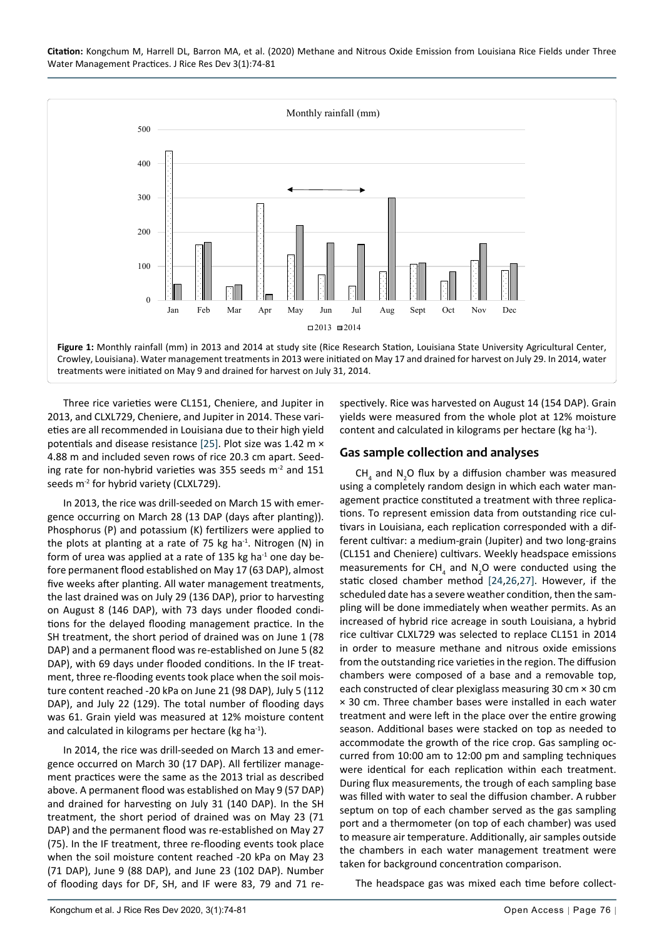**Citation:** Kongchum M, Harrell DL, Barron MA, et al. (2020) Methane and Nitrous Oxide Emission from Louisiana Rice Fields under Three Water Management Practices. J Rice Res Dev 3(1):74-81

<span id="page-2-0"></span>

Three rice varieties were CL151, Cheniere, and Jupiter in 2013, and CLXL729, Cheniere, and Jupiter in 2014. These varieties are all recommended in Louisiana due to their high yield potentials and disease resistance [[25\]](#page-7-5). Plot size was 1.42 m × 4.88 m and included seven rows of rice 20.3 cm apart. Seeding rate for non-hybrid varieties was 355 seeds  $m<sup>2</sup>$  and 151 seeds m<sup>-2</sup> for hybrid variety (CLXL729).

In 2013, the rice was drill-seeded on March 15 with emergence occurring on March 28 (13 DAP (days after planting)). Phosphorus (P) and potassium (K) fertilizers were applied to the plots at planting at a rate of 75 kg ha $^{-1}$ . Nitrogen (N) in form of urea was applied at a rate of 135 kg ha $^{-1}$  one day before permanent flood established on May 17 (63 DAP), almost five weeks after planting. All water management treatments, the last drained was on July 29 (136 DAP), prior to harvesting on August 8 (146 DAP), with 73 days under flooded conditions for the delayed flooding management practice. In the SH treatment, the short period of drained was on June 1 (78 DAP) and a permanent flood was re-established on June 5 (82 DAP), with 69 days under flooded conditions. In the IF treatment, three re-flooding events took place when the soil moisture content reached -20 kPa on June 21 (98 DAP), July 5 (112 DAP), and July 22 (129). The total number of flooding days was 61. Grain yield was measured at 12% moisture content and calculated in kilograms per hectare (kg ha<sup>-1</sup>).

In 2014, the rice was drill-seeded on March 13 and emergence occurred on March 30 (17 DAP). All fertilizer management practices were the same as the 2013 trial as described above. A permanent flood was established on May 9 (57 DAP) and drained for harvesting on July 31 (140 DAP). In the SH treatment, the short period of drained was on May 23 (71 DAP) and the permanent flood was re-established on May 27 (75). In the IF treatment, three re-flooding events took place when the soil moisture content reached -20 kPa on May 23 (71 DAP), June 9 (88 DAP), and June 23 (102 DAP). Number of flooding days for DF, SH, and IF were 83, 79 and 71 respectively. Rice was harvested on August 14 (154 DAP). Grain yields were measured from the whole plot at 12% moisture content and calculated in kilograms per hectare (kg ha<sup>-1</sup>).

#### **Gas sample collection and analyses**

 $CH<sub>4</sub>$  and N<sub>2</sub>O flux by a diffusion chamber was measured using a completely random design in which each water management practice constituted a treatment with three replications. To represent emission data from outstanding rice cultivars in Louisiana, each replication corresponded with a different cultivar: a medium-grain (Jupiter) and two long-grains (CL151 and Cheniere) cultivars. Weekly headspace emissions measurements for CH<sub>4</sub> and N<sub>2</sub>O were conducted using the static closed chamber method [[24,](#page-7-2)[26](#page-7-3)[,27](#page-7-4)]. However, if the scheduled date has a severe weather condition, then the sampling will be done immediately when weather permits. As an increased of hybrid rice acreage in south Louisiana, a hybrid rice cultivar CLXL729 was selected to replace CL151 in 2014 in order to measure methane and nitrous oxide emissions from the outstanding rice varieties in the region. The diffusion chambers were composed of a base and a removable top, each constructed of clear plexiglass measuring 30 cm × 30 cm × 30 cm. Three chamber bases were installed in each water treatment and were left in the place over the entire growing season. Additional bases were stacked on top as needed to accommodate the growth of the rice crop. Gas sampling occurred from 10:00 am to 12:00 pm and sampling techniques were identical for each replication within each treatment. During flux measurements, the trough of each sampling base was filled with water to seal the diffusion chamber. A rubber septum on top of each chamber served as the gas sampling port and a thermometer (on top of each chamber) was used to measure air temperature. Additionally, air samples outside the chambers in each water management treatment were taken for background concentration comparison.

The headspace gas was mixed each time before collect-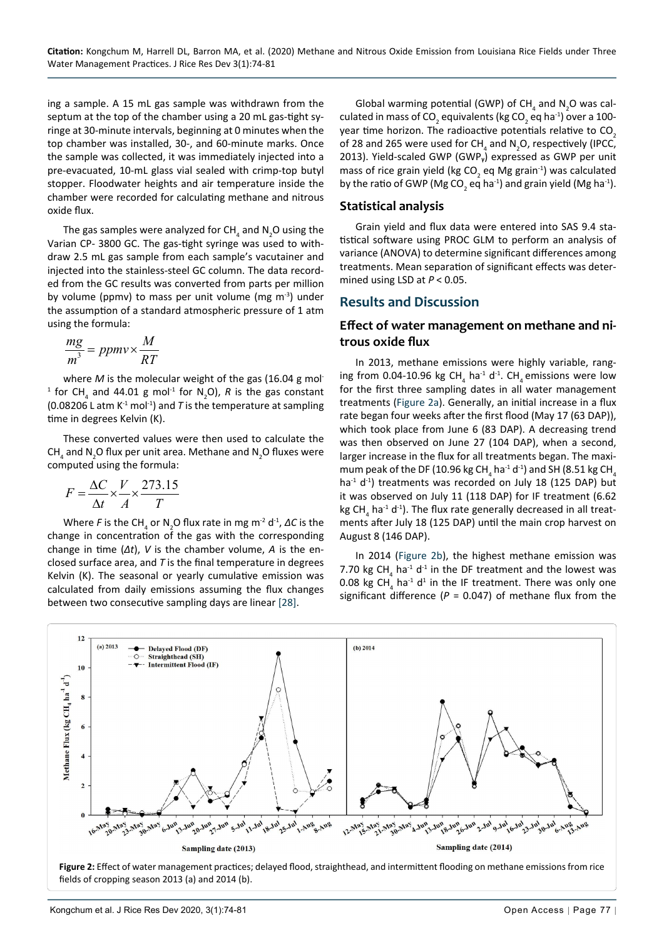ing a sample. A 15 mL gas sample was withdrawn from the septum at the top of the chamber using a 20 mL gas-tight syringe at 30-minute intervals, beginning at 0 minutes when the top chamber was installed, 30-, and 60-minute marks. Once the sample was collected, it was immediately injected into a pre-evacuated, 10-mL glass vial sealed with crimp-top butyl stopper. Floodwater heights and air temperature inside the chamber were recorded for calculating methane and nitrous oxide flux.

The gas samples were analyzed for CH<sub>4</sub> and N<sub>2</sub>O using the Varian CP- 3800 GC. The gas-tight syringe was used to withdraw 2.5 mL gas sample from each sample's vacutainer and injected into the stainless-steel GC column. The data recorded from the GC results was converted from parts per million by volume (ppmv) to mass per unit volume (mg  $m<sup>-3</sup>$ ) under the assumption of a standard atmospheric pressure of 1 atm using the formula:

$$
\frac{mg}{m^3} = ppmv \times \frac{M}{RT}
$$

where *M* is the molecular weight of the gas (16.04 g mol-<sup>1</sup> for CH<sub>4</sub> and 44.01 g mol<sup>-1</sup> for N<sub>2</sub>O), R is the gas constant (0.08206 L atm  $K^{-1}$  mol<sup>-1</sup>) and *T* is the temperature at sampling time in degrees Kelvin (K).

These converted values were then used to calculate the CH<sub>4</sub> and N<sub>2</sub>O flux per unit area. Methane and N<sub>2</sub>O fluxes were computed using the formula:

$$
F = \frac{\Delta C}{\Delta t} \times \frac{V}{A} \times \frac{273.15}{T}
$$

Where *F* is the CH<sub>4</sub> or N<sub>2</sub>O flux rate in mg m<sup>-2</sup> d<sup>-1</sup>, ΔC is the change in concentration of the gas with the corresponding change in time (*Δt*), *V* is the chamber volume, *A* is the enclosed surface area, and *T* is the final temperature in degrees Kelvin (K). The seasonal or yearly cumulative emission was calculated from daily emissions assuming the flux changes between two consecutive sampling days are linear [[28\]](#page-7-6).

Global warming potential (GWP) of  $CH_4$  and  $N_2$ O was calculated in mass of CO<sub>2</sub> equivalents (kg CO<sub>2</sub> eq ha<sup>-1</sup>) over a 100year time horizon. The radioactive potentials relative to CO<sub>2</sub> of 28 and 265 were used for CH<sub>4</sub> and N<sub>2</sub>O, respectively (IPCC, 2013). Yield-scaled GWP (GWP<sub>v</sub>) expressed as GWP per unit mass of rice grain yield (kg CO<sub>2</sub> eq Mg grain<sup>-1</sup>) was calculated by the ratio of GWP (Mg CO<sub>2</sub> eq ha<sup>-1</sup>) and grain yield (Mg ha<sup>-1</sup>).

#### **Statistical analysis**

Grain yield and flux data were entered into SAS 9.4 statistical software using PROC GLM to perform an analysis of variance (ANOVA) to determine significant differences among treatments. Mean separation of significant effects was determined using LSD at *P* < 0.05.

#### **Results and Discussion**

#### **Effect of water management on methane and nitrous oxide flux**

In 2013, methane emissions were highly variable, ranging from 0.04-10.96 kg  $CH_4$  ha<sup>-1</sup> d<sup>-1</sup>. CH<sub>4</sub> emissions were low for the first three sampling dates in all water management treatments ([Figure 2a\)](#page-3-0). Generally, an initial increase in a flux rate began four weeks after the first flood (May 17 (63 DAP)), which took place from June 6 (83 DAP). A decreasing trend was then observed on June 27 (104 DAP), when a second, larger increase in the flux for all treatments began. The maximum peak of the DF (10.96 kg CH<sub>4</sub> ha<sup>-1</sup> d<sup>-1</sup>) and SH (8.51 kg CH<sub>4</sub> ha $^{-1}$  d $^{-1}$ ) treatments was recorded on July 18 (125 DAP) but it was observed on July 11 (118 DAP) for IF treatment (6.62 kg CH<sub>4</sub> ha<sup>-1</sup> d<sup>-1</sup>). The flux rate generally decreased in all treatments after July 18 (125 DAP) until the main crop harvest on August 8 (146 DAP).

In 2014 [\(Figure 2b\)](#page-3-0), the highest methane emission was 7.70 kg CH<sub>4</sub> ha<sup>-1</sup> d<sup>-1</sup> in the DF treatment and the lowest was 0.08 kg CH<sub>4</sub> ha<sup>-1</sup> d<sup>1</sup> in the IF treatment. There was only one significant difference ( $P = 0.047$ ) of methane flux from the

<span id="page-3-0"></span>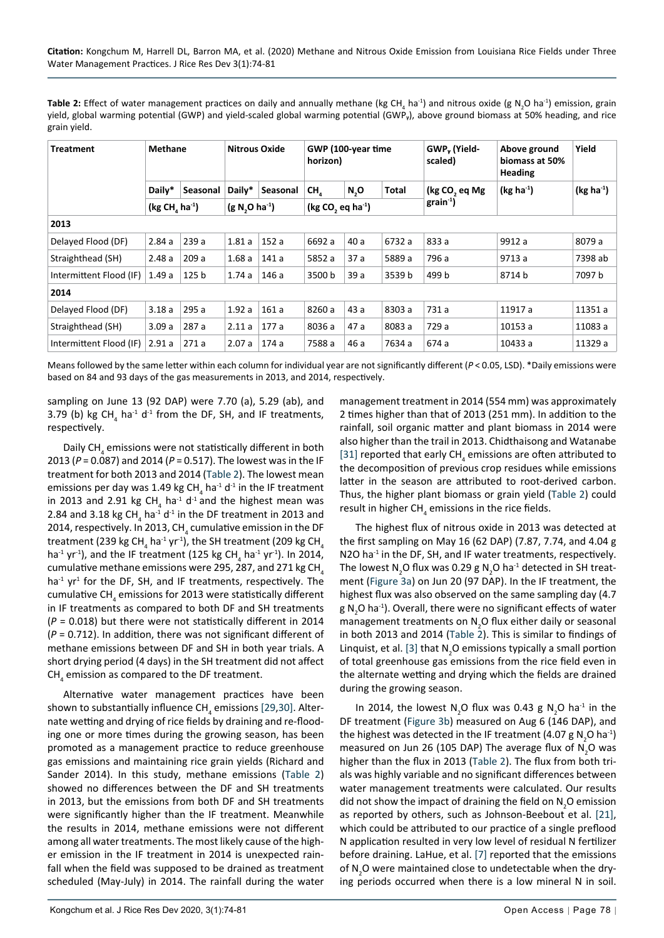**Table 2:** Effect of water management practices on daily and annually methane (kg CH<sub>4</sub> ha<sup>-1</sup>) and nitrous oxide (g N<sub>2</sub>O ha<sup>-1</sup>) emission, grain yield, global warming potential (GWP) and yield-scaled global warming potential (GWP<sub>v</sub>), above ground biomass at 50% heading, and rice grain yield.

| Treatment               | <b>Methane</b>                         |                  | <b>Nitrous Oxide</b> |          | GWP (100-year time<br>horizon)            |      | GWP <sub>v</sub> (Yield-<br>scaled) | Above ground<br>biomass at 50%<br><b>Heading</b> | Yield       |             |
|-------------------------|----------------------------------------|------------------|----------------------|----------|-------------------------------------------|------|-------------------------------------|--------------------------------------------------|-------------|-------------|
|                         | Daily*                                 | Seasonal         | Daily*               | Seasonal | CH.                                       | N, O | Total                               | (kg CO <sub>2</sub> eq Mg                        | $(kg ha-1)$ | $(kg ha-1)$ |
|                         | (kg CH <sub>4</sub> ha <sup>-1</sup> ) |                  | $(g N, O ha^{-1})$   |          | (kg CO <sub>2</sub> eq ha <sup>-1</sup> ) |      | $grain^{-1}$                        |                                                  |             |             |
| 2013                    |                                        |                  |                      |          |                                           |      |                                     |                                                  |             |             |
| Delayed Flood (DF)      | 2.84a                                  | 239a             | 1.81a                | 152 a    | 6692 a                                    | 40 a | 6732 a                              | 833 a                                            | 9912 a      | 8079 a      |
| Straighthead (SH)       | 2.48a                                  | 209a             | 1.68a                | 141a     | 5852 a                                    | 37a  | 5889 a                              | 796 a                                            | 9713 a      | 7398 ab     |
| Intermittent Flood (IF) | 1.49a                                  | 125 <sub>b</sub> | 1.74a                | 146 a    | 3500 b                                    | 39a  | 3539 b                              | 499 b                                            | 8714 b      | 7097 b      |
| 2014                    |                                        |                  |                      |          |                                           |      |                                     |                                                  |             |             |
| Delayed Flood (DF)      | 3.18a                                  | 295a             | 1.92a                | 161a     | 8260 a                                    | 43 a | 8303 a                              | 731 a                                            | 11917 a     | 11351 a     |
| Straighthead (SH)       | 3.09a                                  | 287 a            | 2.11a                | 177a     | 8036 a                                    | 47 a | 8083 a                              | 729 a                                            | 10153 a     | 11083 a     |
| Intermittent Flood (IF) | 2.91a                                  | 271a             | 2.07a                | 174 a    | 7588 a                                    | 46 a | 7634 a                              | 674 a                                            | 10433 a     | 11329 a     |

Means followed by the same letter within each column for individual year are not significantly different ( $P < 0.05$ , LSD). \*Daily emissions were based on 84 and 93 days of the gas measurements in 2013, and 2014, respectively.

sampling on June 13 (92 DAP) were 7.70 (a), 5.29 (ab), and 3.79 (b) kg  $CH_4$  ha<sup>-1</sup> d<sup>-1</sup> from the DF, SH, and IF treatments, respectively.

Daily CH<sub>4</sub> emissions were not statistically different in both 2013 (*P* = 0.087) and 2014 (*P* = 0.517). The lowest was in the IF treatment for both 2013 and 2014 (Table 2). The lowest mean emissions per day was 1.49 kg CH<sub>4</sub> ha<sup>-1</sup> d<sup>-1</sup> in the IF treatment in 2013 and 2.91 kg CH<sub>4</sub> ha<sup>-1</sup> d<sup>-1</sup> and the highest mean was 2.84 and 3.18 kg CH<sub>4</sub> ha<sup>-1</sup> d<sup>-1</sup> in the DF treatment in 2013 and 2014, respectively. In 2013, CH $_{\tiny{4}}$  cumulative emission in the DF treatment (239 kg CH $_{\textrm{\tiny{4}}}$  ha $^{\textrm{\tiny{1}}}$  yr $^{\textrm{\tiny{1}}}$ ), the SH treatment (209 kg CH $_{\textrm{\tiny{4}}}$ ha<sup>-1</sup> yr<sup>-1</sup>), and the IF treatment (125 kg CH<sub>4</sub> ha<sup>-1</sup> yr<sup>-1</sup>). In 2014, cumulative methane emissions were 295, 287, and 271 kg CH. ha<sup>-1</sup> yr<sup>1</sup> for the DF, SH, and IF treatments, respectively. The cumulative CH<sub>4</sub> emissions for 2013 were statistically different in IF treatments as compared to both DF and SH treatments (*P* = 0.018) but there were not statistically different in 2014 (*P* = 0.712). In addition, there was not significant different of methane emissions between DF and SH in both year trials. A short drying period (4 days) in the SH treatment did not affect  $\textsf{CH}_4^{}$  emission as compared to the DF treatment.

Alternative water management practices have been shown to substantially influence  $\mathsf{CH}_4$  emissions [\[29](#page-7-8),[30\]](#page-7-9). Alternate wetting and drying of rice fields by draining and re-flooding one or more times during the growing season, has been promoted as a management practice to reduce greenhouse gas emissions and maintaining rice grain yields (Richard and Sander 2014). In this study, methane emissions (Table 2) showed no differences between the DF and SH treatments in 2013, but the emissions from both DF and SH treatments were significantly higher than the IF treatment. Meanwhile the results in 2014, methane emissions were not different among all water treatments. The most likely cause of the higher emission in the IF treatment in 2014 is unexpected rainfall when the field was supposed to be drained as treatment scheduled (May-July) in 2014. The rainfall during the water

management treatment in 2014 (554 mm) was approximately 2 times higher than that of 2013 (251 mm). In addition to the rainfall, soil organic matter and plant biomass in 2014 were also higher than the trail in 2013. Chidthaisong and Watanabe [[31\]](#page-7-7) reported that early CH<sub>4</sub> emissions are often attributed to the decomposition of previous crop residues while emissions latter in the season are attributed to root-derived carbon. Thus, the higher plant biomass or grain yield (Table 2) could result in higher  $CH<sub>4</sub>$  emissions in the rice fields.

The highest flux of nitrous oxide in 2013 was detected at the first sampling on May 16 (62 DAP) (7.87, 7.74, and 4.04 g N2O ha<sup>-1</sup> in the DF, SH, and IF water treatments, respectively. The lowest  $N_2$ O flux was 0.29 g  $N_2$ O ha<sup>-1</sup> detected in SH treatment ([Figure 3a](#page-5-0)) on Jun 20 (97 DAP). In the IF treatment, the highest flux was also observed on the same sampling day (4.7  $g N_2$ O ha<sup>-1</sup>). Overall, there were no significant effects of water management treatments on  $N_2$ O flux either daily or seasonal in both 2013 and 2014 (Table 2). This is similar to findings of Linquist, et al. [[3\]](#page-6-2) that  $N_2O$  emissions typically a small portion of total greenhouse gas emissions from the rice field even in the alternate wetting and drying which the fields are drained during the growing season.

In 2014, the lowest N<sub>2</sub>O flux was 0.43 g N<sub>2</sub>O ha<sup>-1</sup> in the DF treatment [\(Figure 3b](#page-5-0)) measured on Aug 6 (146 DAP), and the highest was detected in the IF treatment (4.07 g  $N_2O$  ha<sup>-1</sup>) measured on Jun 26 (105 DAP) The average flux of  $N_2O$  was higher than the flux in 2013 (Table 2). The flux from both trials was highly variable and no significant differences between water management treatments were calculated. Our results did not show the impact of draining the field on  $N_2$ O emission as reported by others, such as Johnson-Beebout et al. [\[21](#page-6-19)], which could be attributed to our practice of a single preflood N application resulted in very low level of residual N fertilizer before draining. LaHue, et al. [[7\]](#page-6-5) reported that the emissions of  $N_2$ O were maintained close to undetectable when the drying periods occurred when there is a low mineral N in soil.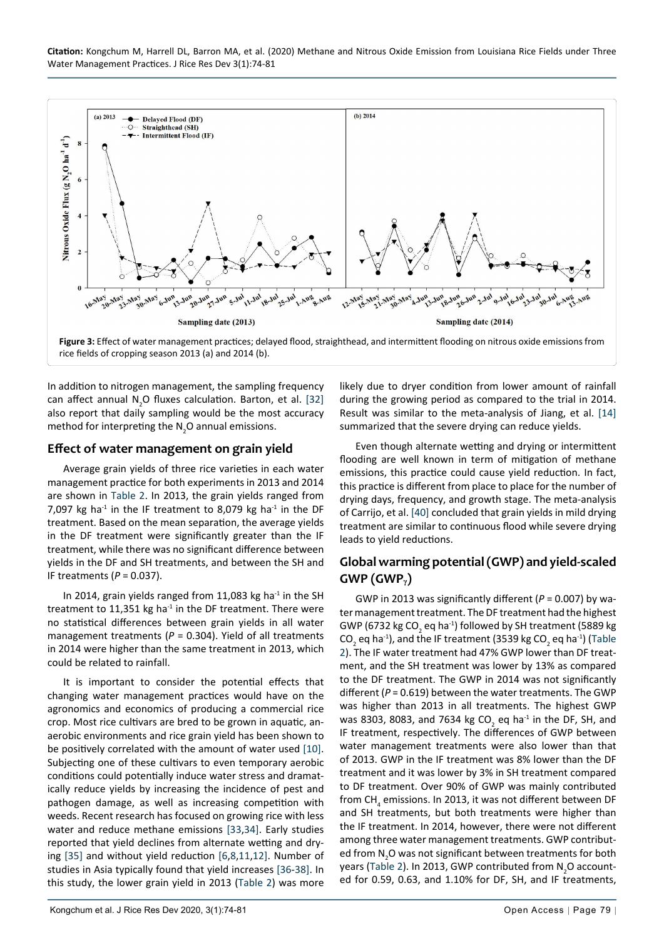**Citation:** Kongchum M, Harrell DL, Barron MA, et al. (2020) Methane and Nitrous Oxide Emission from Louisiana Rice Fields under Three Water Management Practices. J Rice Res Dev 3(1):74-81

<span id="page-5-0"></span>

In addition to nitrogen management, the sampling frequency can affect annual  $N_{2}$ O fluxes calculation. Barton, et al. [\[32](#page-7-11)] also report that daily sampling would be the most accuracy method for interpreting the  $N_2$ O annual emissions.

#### **Effect of water management on grain yield**

Average grain yields of three rice varieties in each water management practice for both experiments in 2013 and 2014 are shown in Table 2. In 2013, the grain yields ranged from 7,097 kg ha<sup>-1</sup> in the IF treatment to 8,079 kg ha<sup>-1</sup> in the DF treatment. Based on the mean separation, the average yields in the DF treatment were significantly greater than the IF treatment, while there was no significant difference between yields in the DF and SH treatments, and between the SH and IF treatments (*P* = 0.037).

In 2014, grain yields ranged from 11,083 kg ha $^{-1}$  in the SH treatment to  $11,351$  kg ha<sup>-1</sup> in the DF treatment. There were no statistical differences between grain yields in all water management treatments ( $P = 0.304$ ). Yield of all treatments in 2014 were higher than the same treatment in 2013, which could be related to rainfall.

It is important to consider the potential effects that changing water management practices would have on the agronomics and economics of producing a commercial rice crop. Most rice cultivars are bred to be grown in aquatic, anaerobic environments and rice grain yield has been shown to be positively correlated with the amount of water used [[10\]](#page-6-8). Subjecting one of these cultivars to even temporary aerobic conditions could potentially induce water stress and dramatically reduce yields by increasing the incidence of pest and pathogen damage, as well as increasing competition with weeds. Recent research has focused on growing rice with less water and reduce methane emissions [\[33,](#page-7-12)[34](#page-7-13)]. Early studies reported that yield declines from alternate wetting and drying [\[35](#page-7-14)] and without yield reduction [[6](#page-6-11),[8,](#page-6-6)[11](#page-6-9),[12\]](#page-6-10). Number of studies in Asia typically found that yield increases [\[36](#page-7-15)[-38\]](#page-7-16). In this study, the lower grain yield in 2013 (Table 2) was more

likely due to dryer condition from lower amount of rainfall during the growing period as compared to the trial in 2014. Result was similar to the meta-analysis of Jiang, et al. [[14\]](#page-6-13) summarized that the severe drying can reduce yields.

Even though alternate wetting and drying or intermittent flooding are well known in term of mitigation of methane emissions, this practice could cause yield reduction. In fact, this practice is different from place to place for the number of drying days, frequency, and growth stage. The meta-analysis of Carrijo, et al. [[40\]](#page-7-10) concluded that grain yields in mild drying treatment are similar to continuous flood while severe drying leads to yield reductions.

#### **Global warming potential (GWP) and yield-scaled GWP (GWPᵧ)**

GWP in 2013 was significantly different (*P* = 0.007) by water management treatment. The DF treatment had the highest GWP (6732 kg CO<sub>2</sub> eq ha<sup>-1</sup>) followed by SH treatment (5889 kg CO<sub>2</sub> eq ha<sup>-1</sup>), and the IF treatment (3539 kg CO<sub>2</sub> eq ha<sup>-1</sup>) (Table 2). The IF water treatment had 47% GWP lower than DF treatment, and the SH treatment was lower by 13% as compared to the DF treatment. The GWP in 2014 was not significantly different (*P* = 0.619) between the water treatments. The GWP was higher than 2013 in all treatments. The highest GWP was 8303, 8083, and 7634 kg CO<sub>2</sub> eq ha<sup>-1</sup> in the DF, SH, and IF treatment, respectively. The differences of GWP between water management treatments were also lower than that of 2013. GWP in the IF treatment was 8% lower than the DF treatment and it was lower by 3% in SH treatment compared to DF treatment. Over 90% of GWP was mainly contributed from CH<sub>4</sub> emissions. In 2013, it was not different between DF and SH treatments, but both treatments were higher than the IF treatment. In 2014, however, there were not different among three water management treatments. GWP contributed from  $N_2$ O was not significant between treatments for both years (Table 2). In 2013, GWP contributed from  $N_{2}$ O accounted for 0.59, 0.63, and 1.10% for DF, SH, and IF treatments,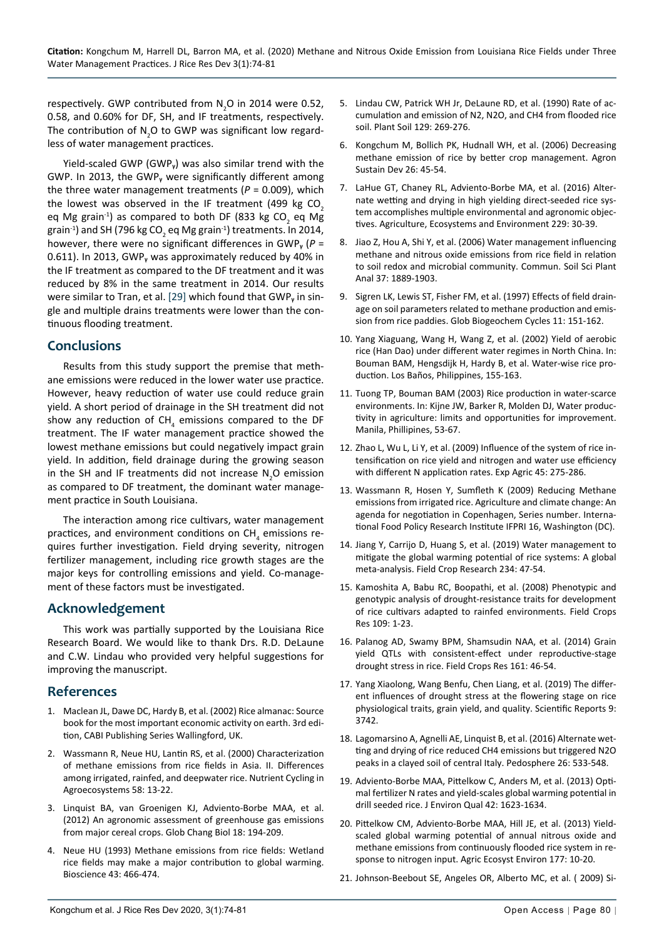respectively. GWP contributed from  $N_{2}$ O in 2014 were 0.52, 0.58, and 0.60% for DF, SH, and IF treatments, respectively. The contribution of  $N_{2}$ O to GWP was significant low regardless of water management practices.

Yield-scaled GWP (GWP $_{v}$ ) was also similar trend with the GWP. In 2013, the GWP $_{v}$  were significantly different among the three water management treatments  $(P = 0.009)$ , which the lowest was observed in the IF treatment (499 kg  $CO<sub>2</sub>$ eq Mg grain<sup>-1</sup>) as compared to both DF (833 kg CO<sub>2</sub> eq Mg grain<sup>-1</sup>) and SH (796 kg CO<sub>2</sub> eq Mg grain<sup>-1</sup>) treatments. In 2014, however, there were no significant differences in GWP<sub>v</sub> ( $P =$ 0.611). In 2013, GWP<sub>v</sub> was approximately reduced by 40% in the IF treatment as compared to the DF treatment and it was reduced by 8% in the same treatment in 2014. Our results were similar to Tran, et al. [[29](#page-7-8)] which found that GWP<sub>v</sub> in single and multiple drains treatments were lower than the continuous flooding treatment.

#### **Conclusions**

Results from this study support the premise that methane emissions were reduced in the lower water use practice. However, heavy reduction of water use could reduce grain yield. A short period of drainage in the SH treatment did not show any reduction of CH<sub>4</sub> emissions compared to the DF treatment. The IF water management practice showed the lowest methane emissions but could negatively impact grain yield. In addition, field drainage during the growing season in the SH and IF treatments did not increase  $N_{2}$ O emission as compared to DF treatment, the dominant water management practice in South Louisiana.

The interaction among rice cultivars, water management practices, and environment conditions on  $\mathsf{CH}_4$  emissions requires further investigation. Field drying severity, nitrogen fertilizer management, including rice growth stages are the major keys for controlling emissions and yield. Co-management of these factors must be investigated.

#### **Acknowledgement**

This work was partially supported by the Louisiana Rice Research Board. We would like to thank Drs. R.D. DeLaune and C.W. Lindau who provided very helpful suggestions for improving the manuscript.

## **References**

- <span id="page-6-0"></span>1. [Maclean JL, Dawe DC, Hardy B, et al. \(2002\) Rice almanac: Source](https://books.google.co.in/books/about/Rice_Almanac.html?id=suZZiwyCEYMC&redir_esc=y)  [book for the most important economic activity on earth. 3rd edi](https://books.google.co.in/books/about/Rice_Almanac.html?id=suZZiwyCEYMC&redir_esc=y)[tion, CABI Publishing Series Wallingford, UK.](https://books.google.co.in/books/about/Rice_Almanac.html?id=suZZiwyCEYMC&redir_esc=y)
- <span id="page-6-1"></span>2. [Wassmann R, Neue HU, Lantin RS, et al. \(2000\) Characterization](https://pubag.nal.usda.gov/catalog/667560)  [of methane emissions from rice fields in Asia. II. Differences](https://pubag.nal.usda.gov/catalog/667560)  [among irrigated, rainfed, and deepwater rice. Nutrient Cycling in](https://pubag.nal.usda.gov/catalog/667560)  [Agroecosystems 58: 13-22.](https://pubag.nal.usda.gov/catalog/667560)
- <span id="page-6-2"></span>3. [Linquist BA, van Groenigen KJ, Adviento-Borbe MAA, et al.](https://onlinelibrary.wiley.com/doi/abs/10.1111/j.1365-2486.2011.02502.x)  [\(2012\) An agronomic assessment of greenhouse gas emissions](https://onlinelibrary.wiley.com/doi/abs/10.1111/j.1365-2486.2011.02502.x)  [from major cereal crops. Glob Chang Biol 18: 194-209.](https://onlinelibrary.wiley.com/doi/abs/10.1111/j.1365-2486.2011.02502.x)
- <span id="page-6-3"></span>4. [Neue HU \(1993\) Methane emissions from rice fields: Wetland](https://academic.oup.com/bioscience/article-abstract/43/7/466/249121?redirectedFrom=fulltext)  [rice fields may make a major contribution to global warming.](https://academic.oup.com/bioscience/article-abstract/43/7/466/249121?redirectedFrom=fulltext)  [Bioscience 43: 466-474.](https://academic.oup.com/bioscience/article-abstract/43/7/466/249121?redirectedFrom=fulltext)
- <span id="page-6-4"></span>5. [Lindau CW, Patrick WH Jr, DeLaune RD, et al. \(1990\) Rate of ac](https://www.semanticscholar.org/paper/Rate-of-accumulation-and-emission-of-N2%2C-N2O-and-a-Lindau-Patrick/c9820d20160f14443e63a6b20606465b1a959645)[cumulation and emission of N2, N2O, and CH4 from flooded rice](https://www.semanticscholar.org/paper/Rate-of-accumulation-and-emission-of-N2%2C-N2O-and-a-Lindau-Patrick/c9820d20160f14443e63a6b20606465b1a959645)  [soil. Plant Soil 129: 269-276.](https://www.semanticscholar.org/paper/Rate-of-accumulation-and-emission-of-N2%2C-N2O-and-a-Lindau-Patrick/c9820d20160f14443e63a6b20606465b1a959645)
- <span id="page-6-11"></span>6. [Kongchum M, Bollich PK, Hudnall WH, et al. \(2006\) Decreasing](https://hal.archives-ouvertes.fr/hal-00886316/document)  [methane emission of rice by better crop management. Agron](https://hal.archives-ouvertes.fr/hal-00886316/document)  [Sustain Dev 26: 45-54.](https://hal.archives-ouvertes.fr/hal-00886316/document)
- <span id="page-6-5"></span>7. [LaHue GT, Chaney RL, Adviento-Borbe MA, et al. \(2016\) Alter](https://www.sciencedirect.com/science/article/abs/pii/S0167880916302754)[nate wetting and drying in high yielding direct-seeded rice sys](https://www.sciencedirect.com/science/article/abs/pii/S0167880916302754)[tem accomplishes multiple environmental and agronomic objec](https://www.sciencedirect.com/science/article/abs/pii/S0167880916302754)[tives. Agriculture, Ecosystems and Environment 229: 30-39.](https://www.sciencedirect.com/science/article/abs/pii/S0167880916302754)
- <span id="page-6-6"></span>8. [Jiao Z, Hou A, Shi Y, et al. \(2006\) Water management influencing](https://www.semanticscholar.org/paper/Water-Management-Influencing-Methane-and-Nitrous-in-Jiao-Hou/6c77ae80121dc6040e3928012292792a77a51349)  [methane and nitrous oxide emissions from rice field in relation](https://www.semanticscholar.org/paper/Water-Management-Influencing-Methane-and-Nitrous-in-Jiao-Hou/6c77ae80121dc6040e3928012292792a77a51349)  [to soil redox and microbial community. Commun. Soil Sci Plant](https://www.semanticscholar.org/paper/Water-Management-Influencing-Methane-and-Nitrous-in-Jiao-Hou/6c77ae80121dc6040e3928012292792a77a51349)  [Anal 37: 1889-1903.](https://www.semanticscholar.org/paper/Water-Management-Influencing-Methane-and-Nitrous-in-Jiao-Hou/6c77ae80121dc6040e3928012292792a77a51349)
- <span id="page-6-7"></span>9. [Sigren LK, Lewis ST, Fisher FM, et al. \(1997\) Effects of field drain](https://agupubs.onlinelibrary.wiley.com/doi/pdf/10.1029/97GB00627)[age on soil parameters related to methane production and emis](https://agupubs.onlinelibrary.wiley.com/doi/pdf/10.1029/97GB00627)[sion from rice paddies. Glob Biogeochem Cycles 11: 151-162.](https://agupubs.onlinelibrary.wiley.com/doi/pdf/10.1029/97GB00627)
- <span id="page-6-8"></span>10. Yang Xiaguang, Wang H, Wang Z, et al. (2002) Yield of aerobic rice (Han Dao) under different water regimes in North China. In: Bouman BAM, Hengsdijk H, Hardy B, et al. Water-wise rice production. Los Baños, Philippines, 155-163.
- <span id="page-6-9"></span>11. [Tuong TP, Bouman BAM \(2003\) Rice production in water-scarce](https://www.cabi.org/cabebooks/ebook/20033158280)  [environments. In: Kijne JW, Barker R, Molden DJ, Water produc](https://www.cabi.org/cabebooks/ebook/20033158280)[tivity in agriculture: limits and opportunities for improvement.](https://www.cabi.org/cabebooks/ebook/20033158280)  [Manila, Phillipines, 53-67.](https://www.cabi.org/cabebooks/ebook/20033158280)
- <span id="page-6-10"></span>12. [Zhao L, Wu L, Li Y, et al. \(2009\) Influence of the system of rice in](https://www.cambridge.org/core/journals/experimental-agriculture/article/influence-of-the-system-of-rice-intensification-on-rice-yield-and-nitrogen-and-water-use-efficiency-with-different-n-application-rates/5986E52CC4BFB9B45DF0CDFBABA29D28)[tensification on rice yield and nitrogen and water use efficiency](https://www.cambridge.org/core/journals/experimental-agriculture/article/influence-of-the-system-of-rice-intensification-on-rice-yield-and-nitrogen-and-water-use-efficiency-with-different-n-application-rates/5986E52CC4BFB9B45DF0CDFBABA29D28)  [with different N application rates. Exp Agric 45: 275-286.](https://www.cambridge.org/core/journals/experimental-agriculture/article/influence-of-the-system-of-rice-intensification-on-rice-yield-and-nitrogen-and-water-use-efficiency-with-different-n-application-rates/5986E52CC4BFB9B45DF0CDFBABA29D28)
- <span id="page-6-12"></span>13. Wassmann R, Hosen Y, Sumfleth K (2009) Reducing Methane emissions from irrigated rice. Agriculture and climate change: An agenda for negotiation in Copenhagen, Series number. International Food Policy Research Institute IFPRI 16, Washington (DC).
- <span id="page-6-13"></span>14. [Jiang Y, Carrijo D, Huang S, et al. \(2019\) Water management to](https://www.sciencedirect.com/science/article/abs/pii/S0378429018320276)  [mitigate the global warming potential of rice systems: A global](https://www.sciencedirect.com/science/article/abs/pii/S0378429018320276)  [meta-analysis. Field Crop Research 234: 47-54.](https://www.sciencedirect.com/science/article/abs/pii/S0378429018320276)
- <span id="page-6-14"></span>15. [Kamoshita A, Babu RC, Boopathi, et al. \(2008\) Phenotypic and](https://www.sciencedirect.com/science/article/abs/pii/S0378429008001287)  [genotypic analysis of drought-resistance traits for development](https://www.sciencedirect.com/science/article/abs/pii/S0378429008001287)  [of rice cultivars adapted to rainfed environments. Field Crops](https://www.sciencedirect.com/science/article/abs/pii/S0378429008001287)  [Res 109: 1-23.](https://www.sciencedirect.com/science/article/abs/pii/S0378429008001287)
- 16. [Palanog AD, Swamy BPM, Shamsudin NAA, et al. \(2014\) Grain](https://www.sciencedirect.com/science/article/abs/pii/S0378429014000124)  [yield QTLs with consistent-effect under reproductive-stage](https://www.sciencedirect.com/science/article/abs/pii/S0378429014000124)  [drought stress in rice. Field Crops Res 161: 46-54.](https://www.sciencedirect.com/science/article/abs/pii/S0378429014000124)
- <span id="page-6-15"></span>17. [Yang Xiaolong, Wang Benfu, Chen Liang, et al. \(2019\) The differ](https://www.nature.com/articles/s41598-019-40161-0)[ent influences of drought stress at the flowering stage on rice](https://www.nature.com/articles/s41598-019-40161-0)  [physiological traits, grain yield, and quality. Scientific Reports 9:](https://www.nature.com/articles/s41598-019-40161-0)  [3742.](https://www.nature.com/articles/s41598-019-40161-0)
- <span id="page-6-16"></span>18. [Lagomarsino A, Agnelli AE, Linquist B, et al. \(2016\) Alternate wet](https://www.sciencedirect.com/science/article/abs/pii/S1002016015600637)[ting and drying of rice reduced CH4 emissions but triggered N2O](https://www.sciencedirect.com/science/article/abs/pii/S1002016015600637)  [peaks in a clayed soil of central Italy. Pedosphere 26: 533-548.](https://www.sciencedirect.com/science/article/abs/pii/S1002016015600637)
- <span id="page-6-17"></span>19. [Adviento-Borbe MAA, Pittelkow C, Anders M, et al. \(2013\) Opti](https://pubmed.ncbi.nlm.nih.gov/25602403/)[mal fertilizer N rates and yield-scales global warming potential in](https://pubmed.ncbi.nlm.nih.gov/25602403/)  [drill seeded rice. J Environ Qual 42: 1623-1634.](https://pubmed.ncbi.nlm.nih.gov/25602403/)
- <span id="page-6-18"></span>20. [Pittelkow CM, Adviento-Borbe MAA, Hill JE, et al. \(2013\) Yield](https://www.sciencedirect.com/science/article/abs/pii/S0167880913001618)[scaled global warming potential of annual nitrous oxide and](https://www.sciencedirect.com/science/article/abs/pii/S0167880913001618)  [methane emissions from continuously flooded rice system in re](https://www.sciencedirect.com/science/article/abs/pii/S0167880913001618)[sponse to nitrogen input. Agric Ecosyst Environ 177: 10-20.](https://www.sciencedirect.com/science/article/abs/pii/S0167880913001618)
- <span id="page-6-19"></span>21. [Johnson-Beebout SE, Angeles OR, Alberto MC, et al. \( 2009\) Si](https://www.sciencedirect.com/science/article/abs/pii/S0016706108003273)-